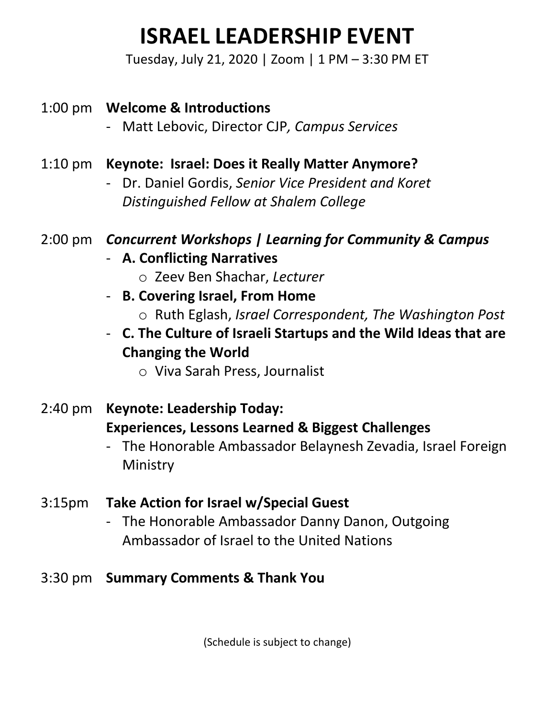# **ISRAEL LEADERSHIP EVENT**

Tuesday, July 21, 2020 | Zoom | 1 PM – 3:30 PM ET

## 1:00 pm **Welcome & Introductions**

- Matt Lebovic, Director CJP*, Campus Services*

## 1:10 pm **Keynote: Israel: Does it Really Matter Anymore?**

- Dr. Daniel Gordis, *Senior Vice President and Koret Distinguished Fellow at Shalem College*

## 2:00 pm *Concurrent Workshops | Learning for Community & Campus*

- **A. Conflicting Narratives**
	- o Zeev Ben Shachar, *Lecturer*
- **B. Covering Israel, From Home**
	- o Ruth Eglash, *Israel Correspondent, The Washington Post*
- **C. The Culture of Israeli Startups and the Wild Ideas that are Changing the World** 
	- o Viva Sarah Press, Journalist
- 2:40 pm **Keynote: Leadership Today: Experiences, Lessons Learned & Biggest Challenges**
	- The Honorable Ambassador Belaynesh Zevadia, Israel Foreign Ministry

### 3:15pm **Take Action for Israel w/Special Guest**

- The Honorable Ambassador Danny Danon, Outgoing Ambassador of Israel to the United Nations

### 3:30 pm **Summary Comments & Thank You**

(Schedule is subject to change)